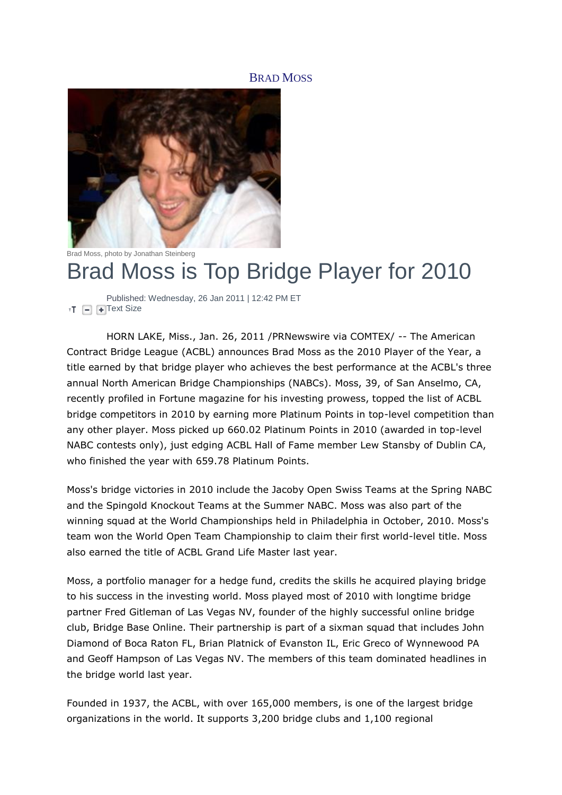# BRAD MOSS



Brad Moss, photo by Jonathan Steinberg

# Brad Moss is Top Bridge Player for 2010

Published: Wednesday, 26 Jan 2011 | 12:42 PM ET  $T = \div T$  $T = \div T$ ext Size

HORN LAKE, Miss., Jan. 26, 2011 /PRNewswire via COMTEX/ -- The American Contract Bridge League (ACBL) announces Brad Moss as the 2010 Player of the Year, a title earned by that bridge player who achieves the best performance at the ACBL's three annual North American Bridge Championships (NABCs). Moss, 39, of San Anselmo, CA, recently profiled in Fortune magazine for his investing prowess, topped the list of ACBL bridge competitors in 2010 by earning more Platinum Points in top-level competition than any other player. Moss picked up 660.02 Platinum Points in 2010 (awarded in top-level NABC contests only), just edging ACBL Hall of Fame member Lew Stansby of Dublin CA, who finished the year with 659.78 Platinum Points.

Moss's bridge victories in 2010 include the Jacoby Open Swiss Teams at the Spring NABC and the Spingold Knockout Teams at the Summer NABC. Moss was also part of the winning squad at the World Championships held in Philadelphia in October, 2010. Moss's team won the World Open Team Championship to claim their first world-level title. Moss also earned the title of ACBL Grand Life Master last year.

Moss, a portfolio manager for a hedge fund, credits the skills he acquired playing bridge to his success in the investing world. Moss played most of 2010 with longtime bridge partner Fred Gitleman of Las Vegas NV, founder of the highly successful online bridge club, Bridge Base Online. Their partnership is part of a sixman squad that includes John Diamond of Boca Raton FL, Brian Platnick of Evanston IL, Eric Greco of Wynnewood PA and Geoff Hampson of Las Vegas NV. The members of this team dominated headlines in the bridge world last year.

Founded in 1937, the ACBL, with over 165,000 members, is one of the largest bridge organizations in the world. It supports 3,200 bridge clubs and 1,100 regional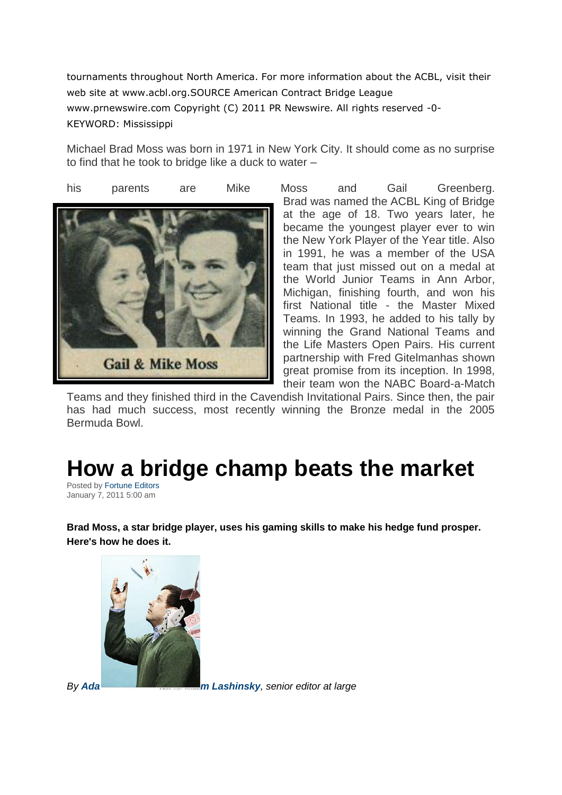tournaments throughout North America. For more information about the ACBL, visit their web site at www.acbl.org.SOURCE American Contract Bridge League www.prnewswire.com Copyright (C) 2011 PR Newswire. All rights reserved -0- KEYWORD: Mississippi

Michael Brad Moss was born in 1971 in New York City. It should come as no surprise to find that he took to bridge like a duck to water –



Brad was named the ACBL King of Bridge at the age of 18. Two years later, he became the youngest player ever to win the New York Player of the Year title. Also in 1991, he was a member of the USA team that just missed out on a medal at the World Junior Teams in Ann Arbor, Michigan, finishing fourth, and won his first National title - the Master Mixed Teams. In 1993, he added to his tally by winning the Grand National Teams and the Life Masters Open Pairs. His current partnership with Fred Gitelmanhas shown great promise from its inception. In 1998, their team won the NABC Board-a-Match

Teams and they finished third in the Cavendish Invitational Pairs. Since then, the pair has had much success, most recently winning the Bronze medal in the 2005 Bermuda Bowl.

# **How a bridge champ beats the market**

Posted by [Fortune Editors](http://finance.fortune.cnn.com/author/fortuneeditors/) January 7, 2011 5:00 am

**Brad Moss, a star bridge player, uses his gaming skills to make his hedge fund prosper. Here's how he does it.**



*By Ada [m Lashinsky](mailto:adam_lashinsky@fortunemail.com), senior editor at large*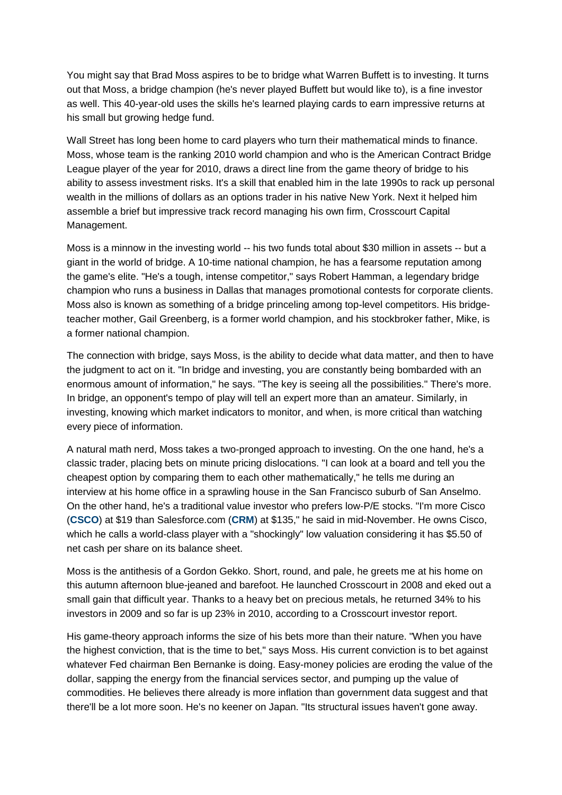You might say that Brad Moss aspires to be to bridge what Warren Buffett is to investing. It turns out that Moss, a bridge champion (he's never played Buffett but would like to), is a fine investor as well. This 40-year-old uses the skills he's learned playing cards to earn impressive returns at his small but growing hedge fund.

Wall Street has long been home to card players who turn their mathematical minds to finance. Moss, whose team is the ranking 2010 world champion and who is the American Contract Bridge League player of the year for 2010, draws a direct line from the game theory of bridge to his ability to assess investment risks. It's a skill that enabled him in the late 1990s to rack up personal wealth in the millions of dollars as an options trader in his native New York. Next it helped him assemble a brief but impressive track record managing his own firm, Crosscourt Capital Management.

Moss is a minnow in the investing world -- his two funds total about \$30 million in assets -- but a giant in the world of bridge. A 10-time national champion, he has a fearsome reputation among the game's elite. "He's a tough, intense competitor," says Robert Hamman, a legendary bridge champion who runs a business in Dallas that manages promotional contests for corporate clients. Moss also is known as something of a bridge princeling among top-level competitors. His bridgeteacher mother, Gail Greenberg, is a former world champion, and his stockbroker father, Mike, is a former national champion.

The connection with bridge, says Moss, is the ability to decide what data matter, and then to have the judgment to act on it. "In bridge and investing, you are constantly being bombarded with an enormous amount of information," he says. "The key is seeing all the possibilities." There's more. In bridge, an opponent's tempo of play will tell an expert more than an amateur. Similarly, in investing, knowing which market indicators to monitor, and when, is more critical than watching every piece of information.

A natural math nerd, Moss takes a two-pronged approach to investing. On the one hand, he's a classic trader, placing bets on minute pricing dislocations. "I can look at a board and tell you the cheapest option by comparing them to each other mathematically," he tells me during an interview at his home office in a sprawling house in the San Francisco suburb of San Anselmo. On the other hand, he's a traditional value investor who prefers low-P/E stocks. "I'm more Cisco (**[CSCO](http://http/money.cnn.com/quote/quote.html?symb=CSCO)**) at \$19 than Salesforce.com (**[CRM](http://money.cnn.com/quote/quote.html?symb=CRM)**) at \$135," he said in mid-November. He owns Cisco, which he calls a world-class player with a "shockingly" low valuation considering it has \$5.50 of net cash per share on its balance sheet.

Moss is the antithesis of a Gordon Gekko. Short, round, and pale, he greets me at his home on this autumn afternoon blue-jeaned and barefoot. He launched Crosscourt in 2008 and eked out a small gain that difficult year. Thanks to a heavy bet on precious metals, he returned 34% to his investors in 2009 and so far is up 23% in 2010, according to a Crosscourt investor report.

His game-theory approach informs the size of his bets more than their nature. "When you have the highest conviction, that is the time to bet," says Moss. His current conviction is to bet against whatever Fed chairman Ben Bernanke is doing. Easy-money policies are eroding the value of the dollar, sapping the energy from the financial services sector, and pumping up the value of commodities. He believes there already is more inflation than government data suggest and that there'll be a lot more soon. He's no keener on Japan. "Its structural issues haven't gone away.